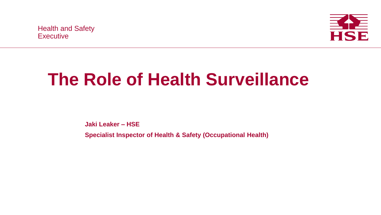Health and Safety Health and Safety Executive Executive



## **The Role of Health Surveillance**

**Jaki Leaker – HSE**

**Specialist Inspector of Health & Safety (Occupational Health)**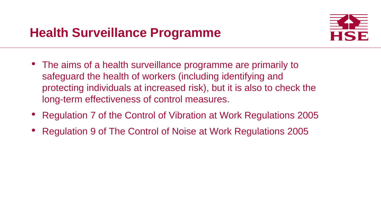

- The aims of a health surveillance programme are primarily to safeguard the health of workers (including identifying and protecting individuals at increased risk), but it is also to check the long-term effectiveness of control measures.
- Regulation 7 of the Control of Vibration at Work Regulations 2005
- Regulation 9 of The Control of Noise at Work Regulations 2005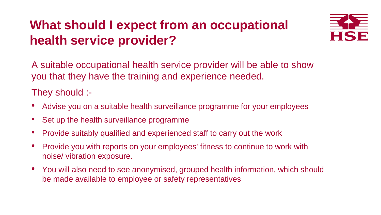## **What should I expect from an occupational health service provider?**



A suitable occupational health service provider will be able to show you that they have the training and experience needed.

They should :-

- Advise you on a suitable health surveillance programme for your employees
- Set up the health surveillance programme
- Provide suitably qualified and experienced staff to carry out the work
- Provide you with reports on your employees' fitness to continue to work with noise/ vibration exposure.
- You will also need to see anonymised, grouped health information, which should be made available to employee or safety representatives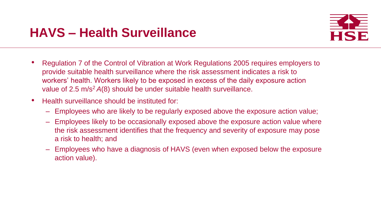

- Regulation 7 of the Control of Vibration at Work Regulations 2005 requires employers to provide suitable health surveillance where the risk assessment indicates a risk to workers' health. Workers likely to be exposed in excess of the daily exposure action value of 2.5 m/s<sup>2</sup>*A*(8) should be under suitable health surveillance.
- Health surveillance should be instituted for:
	- Employees who are likely to be regularly exposed above the exposure action value;
	- Employees likely to be occasionally exposed above the exposure action value where the risk assessment identifies that the frequency and severity of exposure may pose a risk to health; and
	- Employees who have a diagnosis of HAVS (even when exposed below the exposure action value).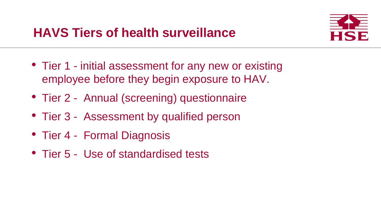

- Tier 1 initial assessment for any new or existing employee before they begin exposure to HAV.
- Tier 2 Annual (screening) questionnaire
- Tier 3 Assessment by qualified person
- Tier 4 Formal Diagnosis
- Tier 5 Use of standardised tests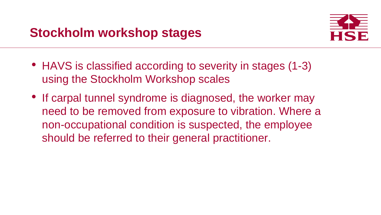- HAVS is classified according to severity in stages (1-3) using the Stockholm Workshop scales
- If carpal tunnel syndrome is diagnosed, the worker may need to be removed from exposure to vibration. Where a non-occupational condition is suspected, the employee should be referred to their general practitioner.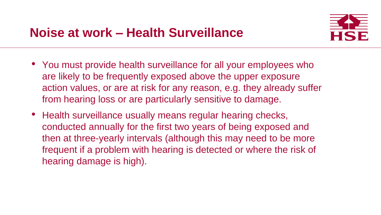

- You must provide health surveillance for all your employees who are likely to be frequently exposed above the upper exposure action values, or are at risk for any reason, e.g. they already suffer from hearing loss or are particularly sensitive to damage.
- Health surveillance usually means regular hearing checks, conducted annually for the first two years of being exposed and then at three-yearly intervals (although this may need to be more frequent if a problem with hearing is detected or where the risk of hearing damage is high).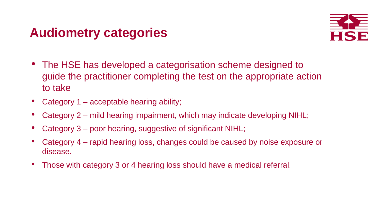

- The HSE has developed a categorisation scheme designed to guide the practitioner completing the test on the appropriate action to take
- Category 1 acceptable hearing ability;
- Category 2 mild hearing impairment, which may indicate developing NIHL;
- Category 3 poor hearing, suggestive of significant NIHL;
- Category 4 rapid hearing loss, changes could be caused by noise exposure or disease.
- Those with category 3 or 4 hearing loss should have a medical referral.